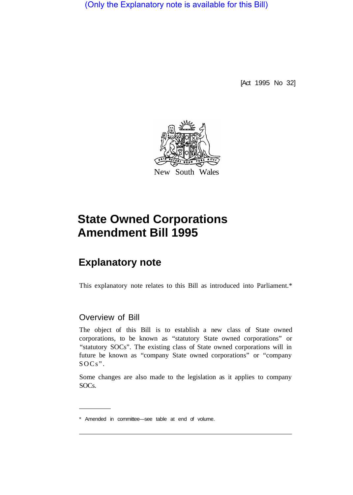(Only the Explanatory note is available for this Bill)

[Act 1995 No 32]



# **State Owned Corporations Amendment Bill 1995**

## **Explanatory note**

This explanatory note relates to this Bill as introduced into Parliament.\*

### Overview of Bill

The object of this Bill is to establish a new class of State owned corporations, to be known as "statutory State owned corporations" or "statutory SOCs". The existing class of State owned corporations will in future be known as "company State owned corporations" or "company SOCs".

Some changes are also made to the legislation as it applies to company SOCs.

<sup>\*</sup> Amended in committee—see table at end of volume.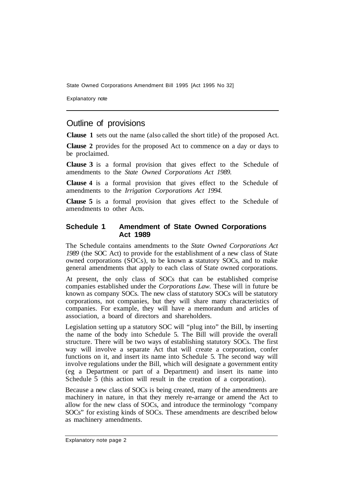Explanatory note

#### Outline of provisions

**Clause 1** sets out the name (also called the short title) of the proposed Act.

**Clause 2** provides for the proposed Act to commence on a day or days to be proclaimed.

**Clause 3** is a formal provision that gives effect to the Schedule of amendments to the *State Owned Corporations Act 1989.* 

**Clause 4** is a formal provision that gives effect to the Schedule of amendments to the *Irrigation Corporations Act 1994.* 

**Clause 5** is a formal provision that gives effect to the Schedule of amendments to other Acts.

#### **Schedule 1 Amendment of State Owned Corporations Act 1989**

The Schedule contains amendments to the *State Owned Corporations Act 1989* (the SOC Act) to provide for the establishment of a new class of State owned corporations (SOCs), to be known as statutory SOCs, and to make general amendments that apply to each class of State owned corporations.

At present, the only class of SOCs that can be established comprise companies established under the *Corporations Law.* These will in future be known as company SOCs. The new class of statutory SOCs will be statutory corporations, not companies, but they will share many characteristics of companies. For example, they will have a memorandum and articles of association, a board of directors and shareholders.

Legislation setting up a statutory SOC will "plug into" the Bill, by inserting the name of the body into Schedule 5. The Bill will provide the overall structure. There will be two ways of establishing statutory SOCs. The first way will involve a separate Act that will create a corporation, confer functions on it, and insert its name into Schedule 5. The second way will involve regulations under the Bill, which will designate a government entity (eg a Department or part of a Department) and insert its name into Schedule 5 (this action will result in the creation of a corporation).

Because a new class of SOCs is being created, many of the amendments are machinery in nature, in that they merely re-arrange or amend the Act to allow for the new class of SOCs, and introduce the terminology "company SOCs" for existing kinds of SOCs. These amendments are described below as machinery amendments.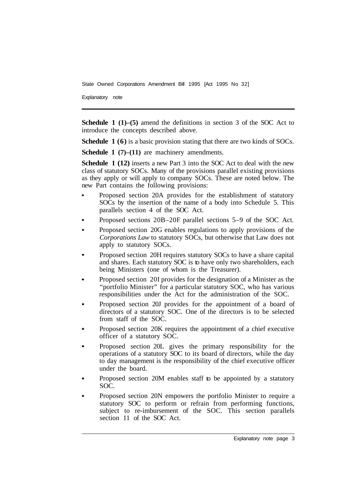Explanatory note

**Schedule 1 (1)–(5)** amend the definitions in section 3 of the SOC Act to introduce the concepts described above.

**Schedule 1 (6)** is a basic provision stating that there are two kinds of SOCs.

**Schedule 1** (7)–(11) are machinery amendments.

**Schedule 1 (12)** inserts a new Part 3 into the SOC Act to deal with the new class of statutory SOCs. Many of the provisions parallel existing provisions as they apply or will apply to company SOCs. These are noted below. The new Part contains the following provisions:

- Proposed section 20A provides for the establishment of statutory SOCs by the insertion of the name of a body into Schedule 5. This parallels section 4 of the SOC Act.
- Proposed sections 20B–20F parallel sections 5–9 of the SOC Act.
- Proposed section 20G enables regulations to apply provisions of the *Corporations Law* to statutory SOCs, but otherwise that Law does not apply to statutory SOCs.
- Proposed section 20H requires statutory SOCs to have a share capital and shares. Each statutory SOC is to have only two shareholders, each being Ministers (one of whom is the Treasurer).
- Proposed section 20I provides for the designation of a Minister as the "portfolio Minister" for a particular statutory SOC, who has various responsibilities under the Act for the administration of the SOC.
- Proposed section 20J provides for the appointment of a board of directors of a statutory SOC. One of the directors is to be selected from staff of the SOC.
- Proposed section 20K requires the appointment of a chief executive officer of a statutory SOC.
- Proposed section 20L gives the primary responsibility for the operations of a statutory SOC to its board of directors, while the day to day management is the responsibility of the chief executive officer under the board.
- Proposed section 20M enables staff to be appointed by a statutory SOC.
- Proposed section 20N empowers the portfolio Minister to require a statutory SOC to perform or refrain from performing functions, subject to re-imbursement of the SOC. This section parallels section 11 of the SOC Act.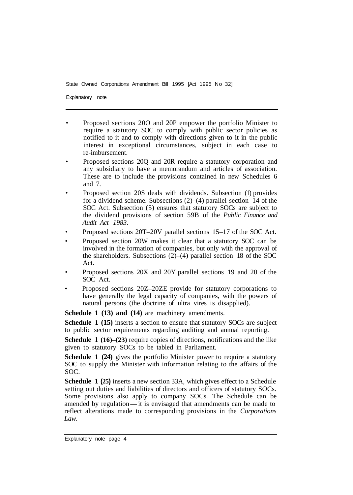Explanatory note

- Proposed sections 20O and 20P empower the portfolio Minister to require a statutory SOC to comply with public sector policies as notified to it and to comply with directions given to it in the public interest in exceptional circumstances, subject in each case to re-imbursement.
- Proposed sections 20Q and 20R require a statutory corporation and any subsidiary to have a memorandum and articles of association. These are to include the provisions contained in new Schedules 6 and 7.
- Proposed section 20S deals with dividends. Subsection (1) provides for a dividend scheme. Subsections (2)–(4) parallel section 14 of the SOC Act. Subsection (5) ensures that statutory SOCs are subject to the dividend provisions of section 59B of the *Public Finance and Audit Act 1983.*
- Proposed sections 20T–20V parallel sections 15–17 of the SOC Act.
- Proposed section 20W makes it clear that a statutory SOC can be involved in the formation of companies, but only with the approval of the shareholders. Subsections (2)–(4) parallel section 18 of the SOC Act.
- Proposed sections 20X and 20Y parallel sections 19 and 20 of the SOC Act.
- Proposed sections 20Z–20ZE provide for statutory corporations to have generally the legal capacity of companies, with the powers of natural persons (the doctrine of ultra vires is disapplied).

**Schedule 1 (13) and (14)** are machinery amendments.

**Schedule 1 (15)** inserts a section to ensure that statutory SOCs are subject to public sector requirements regarding auditing and annual reporting.

**Schedule 1 (16)–(23)** require copies of directions, notifications and the like given to statutory SOCs to be tabled in Parliament.

**Schedule 1 (24)** gives the portfolio Minister power to require a statutory SOC to supply the Minister with information relating to the affairs of the SOC.

**Schedule 1 (25)** inserts a new section 33A, which gives effect to a Schedule setting out duties and liabilities of directors and officers of statutory SOCs.<br>Some provisions also apply to company SOCs. The Schedule can be amended by regulation—it is envisaged that amendments can be made to reflect e Some provisions also apply to company SOCs. The Schedule can be reflect alterations made to corresponding provisions in the *Corporations Law.*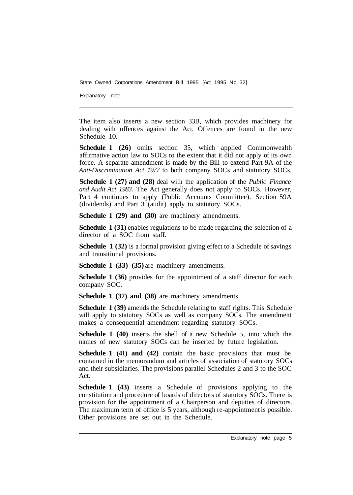Explanatory note

The item also inserts a new section 33B, which provides machinery for dealing with offences against the Act. Offences are found in the new Schedule 10.

**Schedule 1 (26)** omits section 35, which applied Commonwealth affirmative action law to SOCs to the extent that it did not apply of its own force. A separate amendment is made by the Bill to extend Part 9A of the *Anti-Discrimination Act 1977* to both company SOCs and statutory SOCs.

**Schedule 1 (27) and (28)** deal with the application of the *Public Finance and Audit Act 1983.* The Act generally does not apply to SOCs. However, Part 4 continues to apply (Public Accounts Committee). Section 59A (dividends) and Part 3 (audit) apply to statutory SOCs.

**Schedule 1 (29) and (30)** are machinery amendments.

**Schedule 1 (31)** enables regulations to be made regarding the selection of a director of a SOC from staff.

**Schedule 1 (32)** is a formal provision giving effect to a Schedule of savings and transitional provisions.

**Schedule 1 (33)–(35)** are machinery amendments.

**Schedule 1 (36)** provides for the appointment of a staff director for each company SOC.

**Schedule 1 (37) and (38)** are machinery amendments.

**Schedule 1 (39)** amends the Schedule relating to staff rights. This Schedule will apply to statutory SOCs as well as company SOCs. The amendment makes a consequential amendment regarding statutory SOCs.

**Schedule 1 (40)** inserts the shell of a new Schedule 5, into which the names of new statutory SOCs can be inserted by future legislation.

**Schedule 1 (41) and (42)** contain the basic provisions that must be contained in the memorandum and articles of association of statutory SOCs and their subsidiaries. The provisions parallel Schedules 2 and 3 to the SOC Act.

**Schedule 1 (43)** inserts a Schedule of provisions applying to the constitution and procedure of boards of directors of statutory SOCs. There is provision for the appointment of a Chairperson and deputies of directors. The maximum term of office is 5 years, although re-appointment is possible. Other provisions are set out in the Schedule.